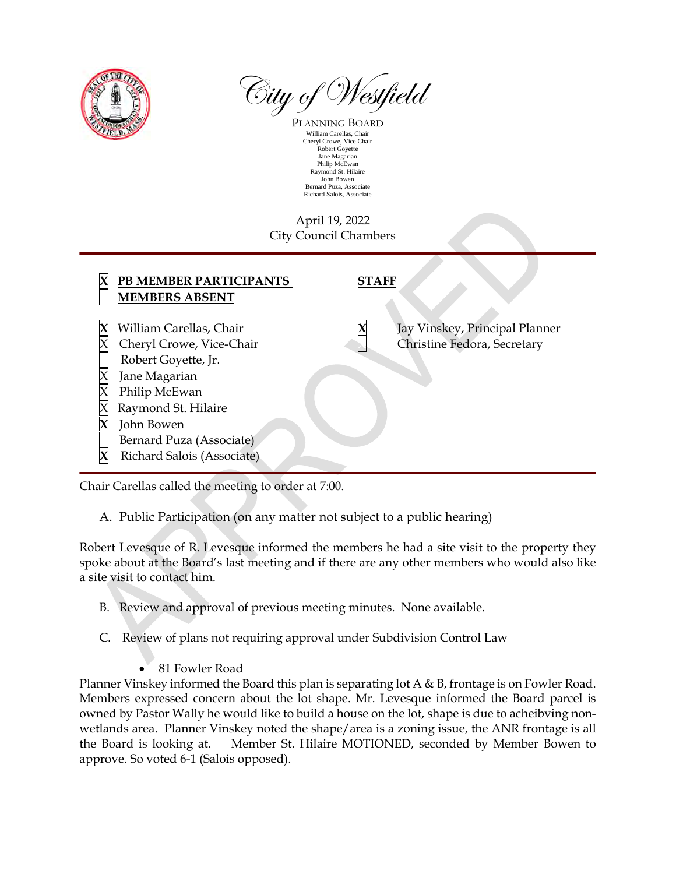

City of Westfield

PLANNING BOARD William Carellas, Chair Cheryl Crowe, Vice Chair Robert Goyette Jane Magarian Philip McEwan Raymond St. Hilaire John Bowen Bernard Puza, Associate Richard Salois, Associate

## April 19, 2022 City Council Chambers

| Jay Vinskey, Principal Planner<br>William Carellas, Chair<br>Christine Fedora, Secretary<br>Cheryl Crowe, Vice-Chair<br>Robert Goyette, Jr.<br>Jane Magarian<br>Philip McEwan<br>Raymond St. Hilaire<br>John Bowen<br>Bernard Puza (Associate) | PB MEMBER PARTICIPANTS<br><b>MEMBERS ABSENT</b> | <b>STAFF</b> |  |
|------------------------------------------------------------------------------------------------------------------------------------------------------------------------------------------------------------------------------------------------|-------------------------------------------------|--------------|--|
|                                                                                                                                                                                                                                                | Richard Salois (Associate)                      |              |  |

Chair Carellas called the meeting to order at 7:00.

A. Public Participation (on any matter not subject to a public hearing)

Robert Levesque of R. Levesque informed the members he had a site visit to the property they spoke about at the Board's last meeting and if there are any other members who would also like a site visit to contact him.

- B. Review and approval of previous meeting minutes. None available.
- C. Review of plans not requiring approval under Subdivision Control Law
	- 81 Fowler Road

Planner Vinskey informed the Board this plan is separating lot A & B, frontage is on Fowler Road. Members expressed concern about the lot shape. Mr. Levesque informed the Board parcel is owned by Pastor Wally he would like to build a house on the lot, shape is due to acheibving nonwetlands area. Planner Vinskey noted the shape/area is a zoning issue, the ANR frontage is all the Board is looking at. Member St. Hilaire MOTIONED, seconded by Member Bowen to approve. So voted 6-1 (Salois opposed).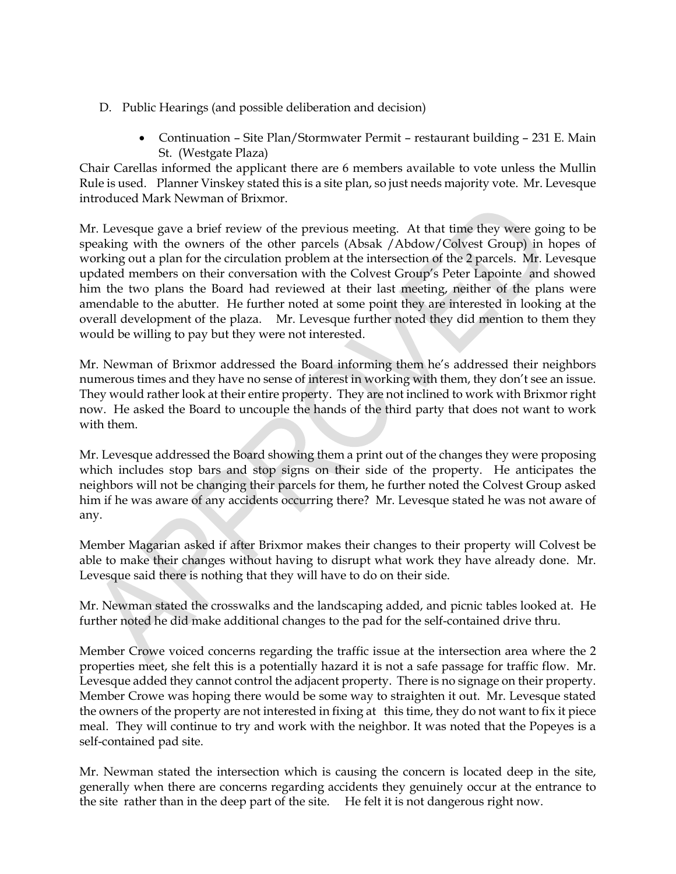- D. Public Hearings (and possible deliberation and decision)
	- Continuation Site Plan/Stormwater Permit restaurant building 231 E. Main St. (Westgate Plaza)

Chair Carellas informed the applicant there are 6 members available to vote unless the Mullin Rule is used. Planner Vinskey stated this is a site plan, so just needs majority vote. Mr. Levesque introduced Mark Newman of Brixmor.

Mr. Levesque gave a brief review of the previous meeting. At that time they were going to be speaking with the owners of the other parcels (Absak /Abdow/Colvest Group) in hopes of working out a plan for the circulation problem at the intersection of the 2 parcels. Mr. Levesque updated members on their conversation with the Colvest Group's Peter Lapointe and showed him the two plans the Board had reviewed at their last meeting, neither of the plans were amendable to the abutter. He further noted at some point they are interested in looking at the overall development of the plaza. Mr. Levesque further noted they did mention to them they would be willing to pay but they were not interested.

Mr. Newman of Brixmor addressed the Board informing them he's addressed their neighbors numerous times and they have no sense of interest in working with them, they don't see an issue. They would rather look at their entire property. They are not inclined to work with Brixmor right now. He asked the Board to uncouple the hands of the third party that does not want to work with them.

Mr. Levesque addressed the Board showing them a print out of the changes they were proposing which includes stop bars and stop signs on their side of the property. He anticipates the neighbors will not be changing their parcels for them, he further noted the Colvest Group asked him if he was aware of any accidents occurring there? Mr. Levesque stated he was not aware of any.

Member Magarian asked if after Brixmor makes their changes to their property will Colvest be able to make their changes without having to disrupt what work they have already done. Mr. Levesque said there is nothing that they will have to do on their side.

Mr. Newman stated the crosswalks and the landscaping added, and picnic tables looked at. He further noted he did make additional changes to the pad for the self-contained drive thru.

Member Crowe voiced concerns regarding the traffic issue at the intersection area where the 2 properties meet, she felt this is a potentially hazard it is not a safe passage for traffic flow. Mr. Levesque added they cannot control the adjacent property. There is no signage on their property. Member Crowe was hoping there would be some way to straighten it out. Mr. Levesque stated the owners of the property are not interested in fixing at this time, they do not want to fix it piece meal. They will continue to try and work with the neighbor. It was noted that the Popeyes is a self-contained pad site.

Mr. Newman stated the intersection which is causing the concern is located deep in the site, generally when there are concerns regarding accidents they genuinely occur at the entrance to the site rather than in the deep part of the site. He felt it is not dangerous right now.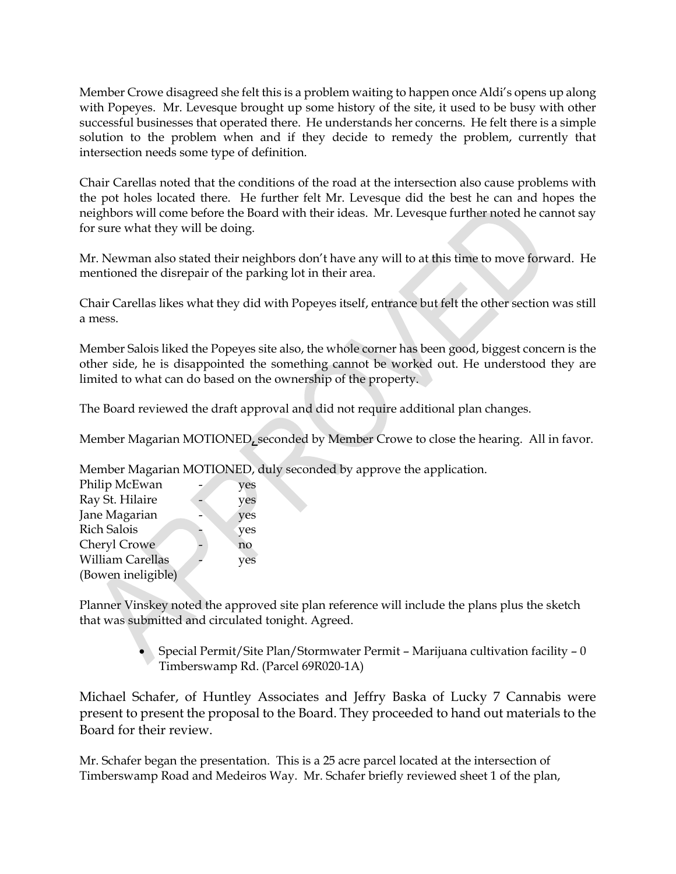Member Crowe disagreed she felt this is a problem waiting to happen once Aldi's opens up along with Popeyes. Mr. Levesque brought up some history of the site, it used to be busy with other successful businesses that operated there. He understands her concerns. He felt there is a simple solution to the problem when and if they decide to remedy the problem, currently that intersection needs some type of definition.

Chair Carellas noted that the conditions of the road at the intersection also cause problems with the pot holes located there. He further felt Mr. Levesque did the best he can and hopes the neighbors will come before the Board with their ideas. Mr. Levesque further noted he cannot say for sure what they will be doing.

Mr. Newman also stated their neighbors don't have any will to at this time to move forward. He mentioned the disrepair of the parking lot in their area.

Chair Carellas likes what they did with Popeyes itself, entrance but felt the other section was still a mess.

Member Salois liked the Popeyes site also, the whole corner has been good, biggest concern is the other side, he is disappointed the something cannot be worked out. He understood they are limited to what can do based on the ownership of the property.

The Board reviewed the draft approval and did not require additional plan changes.

Member Magarian MOTIONED**,** seconded by Member Crowe to close the hearing. All in favor.

Member Magarian MOTIONED, duly seconded by approve the application.

| yes |
|-----|
| yes |
| yes |
| yes |
| no  |
| yes |
|     |
|     |

Planner Vinskey noted the approved site plan reference will include the plans plus the sketch that was submitted and circulated tonight. Agreed.

> Special Permit/Site Plan/Stormwater Permit – Marijuana cultivation facility – 0 Timberswamp Rd. (Parcel 69R020-1A)

Michael Schafer, of Huntley Associates and Jeffry Baska of Lucky 7 Cannabis were present to present the proposal to the Board. They proceeded to hand out materials to the Board for their review.

Mr. Schafer began the presentation. This is a 25 acre parcel located at the intersection of Timberswamp Road and Medeiros Way. Mr. Schafer briefly reviewed sheet 1 of the plan,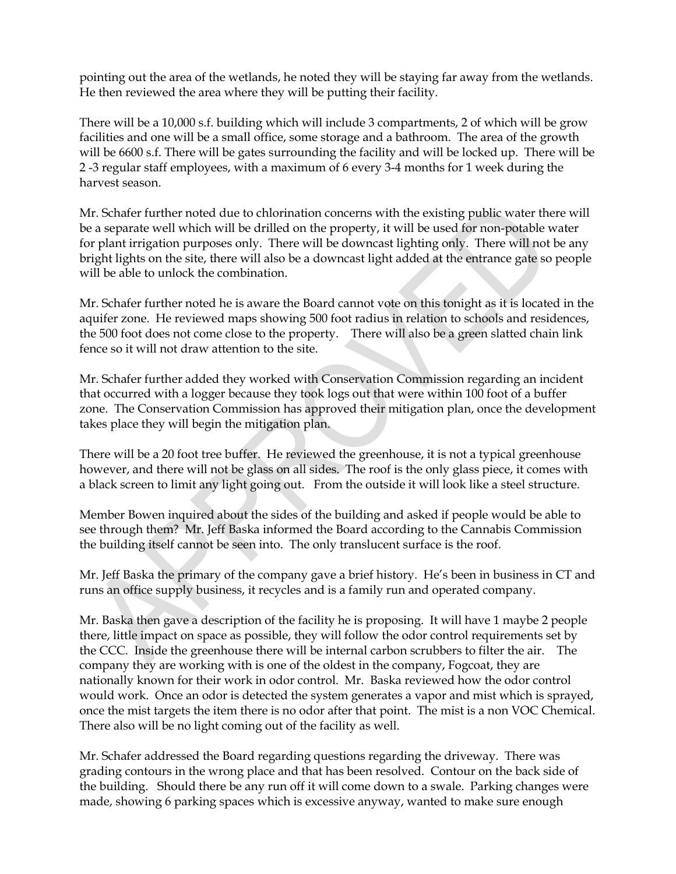pointing out the area of the wetlands, he noted they will be staying far away from the wetlands. He then reviewed the area where they will be putting their facility.

There will be a 10,000 s.f. building which will include 3 compartments, 2 of which will be grow facilities and one will be a small office, some storage and a bathroom. The area of the growth will be 6600 s.f. There will be gates surrounding the facility and will be locked up. There will be 2 -3 regular staff employees, with a maximum of 6 every 3-4 months for 1 week during the harvest season.

Mr. Schafer further noted due to chlorination concerns with the existing public water there will be a separate well which will be drilled on the property, it will be used for non-potable water for plant irrigation purposes only. There will be downcast lighting only. There will not be any bright lights on the site, there will also be a downcast light added at the entrance gate so people will be able to unlock the combination.

Mr. Schafer further noted he is aware the Board cannot vote on this tonight as it is located in the aquifer zone. He reviewed maps showing 500 foot radius in relation to schools and residences, the 500 foot does not come close to the property. There will also be a green slatted chain link fence so it will not draw attention to the site.

Mr. Schafer further added they worked with Conservation Commission regarding an incident that occurred with a logger because they took logs out that were within 100 foot of a buffer zone. The Conservation Commission has approved their mitigation plan, once the development takes place they will begin the mitigation plan.

There will be a 20 foot tree buffer. He reviewed the greenhouse, it is not a typical greenhouse however, and there will not be glass on all sides. The roof is the only glass piece, it comes with a black screen to limit any light going out. From the outside it will look like a steel structure.

Member Bowen inquired about the sides of the building and asked if people would be able to see through them? Mr. Jeff Baska informed the Board according to the Cannabis Commission the building itself cannot be seen into. The only translucent surface is the roof.

Mr. Jeff Baska the primary of the company gave a brief history. He's been in business in CT and runs an office supply business, it recycles and is a family run and operated company.

Mr. Baska then gave a description of the facility he is proposing. It will have 1 maybe 2 people there, little impact on space as possible, they will follow the odor control requirements set by the CCC. Inside the greenhouse there will be internal carbon scrubbers to filter the air. The company they are working with is one of the oldest in the company, Fogcoat, they are nationally known for their work in odor control. Mr. Baska reviewed how the odor control would work. Once an odor is detected the system generates a vapor and mist which is sprayed, once the mist targets the item there is no odor after that point. The mist is a non VOC Chemical. There also will be no light coming out of the facility as well.

Mr. Schafer addressed the Board regarding questions regarding the driveway. There was grading contours in the wrong place and that has been resolved. Contour on the back side of the building. Should there be any run off it will come down to a swale. Parking changes were made, showing 6 parking spaces which is excessive anyway, wanted to make sure enough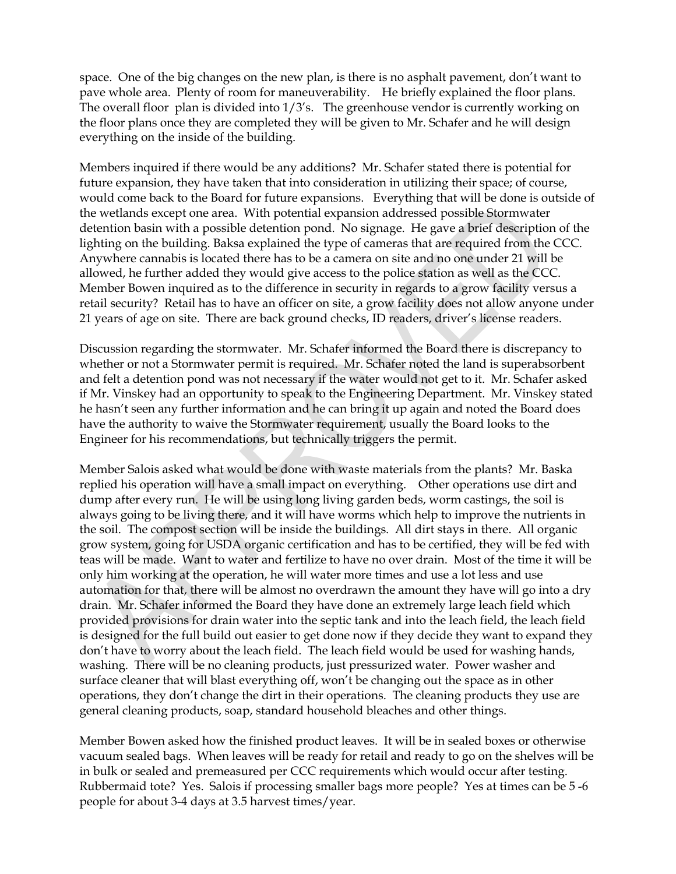space. One of the big changes on the new plan, is there is no asphalt pavement, don't want to pave whole area. Plenty of room for maneuverability. He briefly explained the floor plans. The overall floor plan is divided into 1/3's. The greenhouse vendor is currently working on the floor plans once they are completed they will be given to Mr. Schafer and he will design everything on the inside of the building.

Members inquired if there would be any additions? Mr. Schafer stated there is potential for future expansion, they have taken that into consideration in utilizing their space; of course, would come back to the Board for future expansions. Everything that will be done is outside of the wetlands except one area. With potential expansion addressed possible Stormwater detention basin with a possible detention pond. No signage. He gave a brief description of the lighting on the building. Baksa explained the type of cameras that are required from the CCC. Anywhere cannabis is located there has to be a camera on site and no one under 21 will be allowed, he further added they would give access to the police station as well as the CCC. Member Bowen inquired as to the difference in security in regards to a grow facility versus a retail security? Retail has to have an officer on site, a grow facility does not allow anyone under 21 years of age on site. There are back ground checks, ID readers, driver's license readers.

Discussion regarding the stormwater. Mr. Schafer informed the Board there is discrepancy to whether or not a Stormwater permit is required. Mr. Schafer noted the land is superabsorbent and felt a detention pond was not necessary if the water would not get to it. Mr. Schafer asked if Mr. Vinskey had an opportunity to speak to the Engineering Department. Mr. Vinskey stated he hasn't seen any further information and he can bring it up again and noted the Board does have the authority to waive the Stormwater requirement, usually the Board looks to the Engineer for his recommendations, but technically triggers the permit.

Member Salois asked what would be done with waste materials from the plants? Mr. Baska replied his operation will have a small impact on everything. Other operations use dirt and dump after every run. He will be using long living garden beds, worm castings, the soil is always going to be living there, and it will have worms which help to improve the nutrients in the soil. The compost section will be inside the buildings. All dirt stays in there. All organic grow system, going for USDA organic certification and has to be certified, they will be fed with teas will be made. Want to water and fertilize to have no over drain. Most of the time it will be only him working at the operation, he will water more times and use a lot less and use automation for that, there will be almost no overdrawn the amount they have will go into a dry drain. Mr. Schafer informed the Board they have done an extremely large leach field which provided provisions for drain water into the septic tank and into the leach field, the leach field is designed for the full build out easier to get done now if they decide they want to expand they don't have to worry about the leach field. The leach field would be used for washing hands, washing. There will be no cleaning products, just pressurized water. Power washer and surface cleaner that will blast everything off, won't be changing out the space as in other operations, they don't change the dirt in their operations. The cleaning products they use are general cleaning products, soap, standard household bleaches and other things.

Member Bowen asked how the finished product leaves. It will be in sealed boxes or otherwise vacuum sealed bags. When leaves will be ready for retail and ready to go on the shelves will be in bulk or sealed and premeasured per CCC requirements which would occur after testing. Rubbermaid tote? Yes. Salois if processing smaller bags more people? Yes at times can be 5 -6 people for about 3-4 days at 3.5 harvest times/year.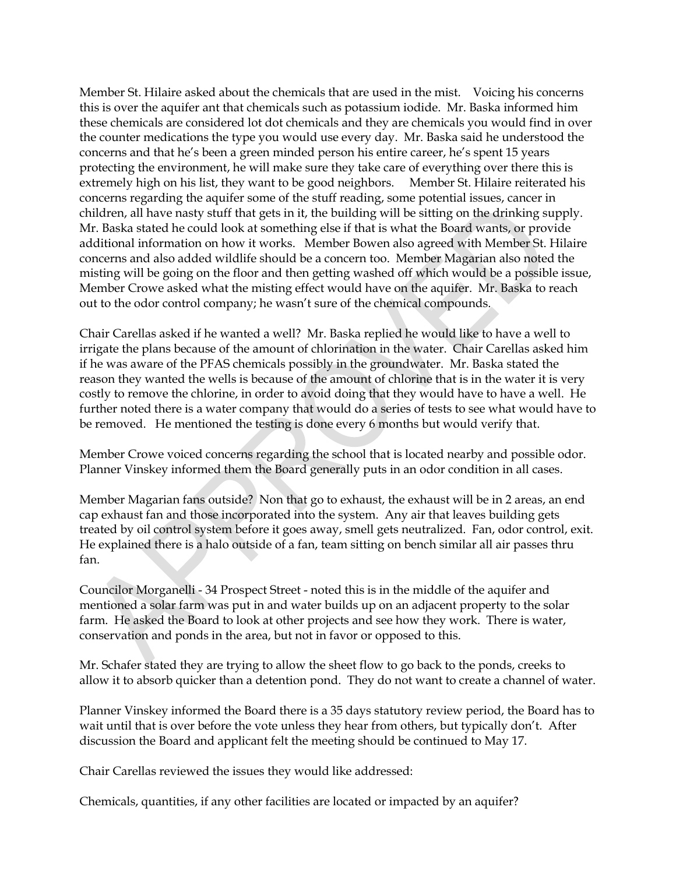Member St. Hilaire asked about the chemicals that are used in the mist. Voicing his concerns this is over the aquifer ant that chemicals such as potassium iodide. Mr. Baska informed him these chemicals are considered lot dot chemicals and they are chemicals you would find in over the counter medications the type you would use every day. Mr. Baska said he understood the concerns and that he's been a green minded person his entire career, he's spent 15 years protecting the environment, he will make sure they take care of everything over there this is extremely high on his list, they want to be good neighbors. Member St. Hilaire reiterated his concerns regarding the aquifer some of the stuff reading, some potential issues, cancer in children, all have nasty stuff that gets in it, the building will be sitting on the drinking supply. Mr. Baska stated he could look at something else if that is what the Board wants, or provide additional information on how it works. Member Bowen also agreed with Member St. Hilaire concerns and also added wildlife should be a concern too. Member Magarian also noted the misting will be going on the floor and then getting washed off which would be a possible issue, Member Crowe asked what the misting effect would have on the aquifer. Mr. Baska to reach out to the odor control company; he wasn't sure of the chemical compounds.

Chair Carellas asked if he wanted a well? Mr. Baska replied he would like to have a well to irrigate the plans because of the amount of chlorination in the water. Chair Carellas asked him if he was aware of the PFAS chemicals possibly in the groundwater. Mr. Baska stated the reason they wanted the wells is because of the amount of chlorine that is in the water it is very costly to remove the chlorine, in order to avoid doing that they would have to have a well. He further noted there is a water company that would do a series of tests to see what would have to be removed. He mentioned the testing is done every 6 months but would verify that.

Member Crowe voiced concerns regarding the school that is located nearby and possible odor. Planner Vinskey informed them the Board generally puts in an odor condition in all cases.

Member Magarian fans outside? Non that go to exhaust, the exhaust will be in 2 areas, an end cap exhaust fan and those incorporated into the system. Any air that leaves building gets treated by oil control system before it goes away, smell gets neutralized. Fan, odor control, exit. He explained there is a halo outside of a fan, team sitting on bench similar all air passes thru fan.

Councilor Morganelli - 34 Prospect Street - noted this is in the middle of the aquifer and mentioned a solar farm was put in and water builds up on an adjacent property to the solar farm. He asked the Board to look at other projects and see how they work. There is water, conservation and ponds in the area, but not in favor or opposed to this.

Mr. Schafer stated they are trying to allow the sheet flow to go back to the ponds, creeks to allow it to absorb quicker than a detention pond. They do not want to create a channel of water.

Planner Vinskey informed the Board there is a 35 days statutory review period, the Board has to wait until that is over before the vote unless they hear from others, but typically don't. After discussion the Board and applicant felt the meeting should be continued to May 17.

Chair Carellas reviewed the issues they would like addressed:

Chemicals, quantities, if any other facilities are located or impacted by an aquifer?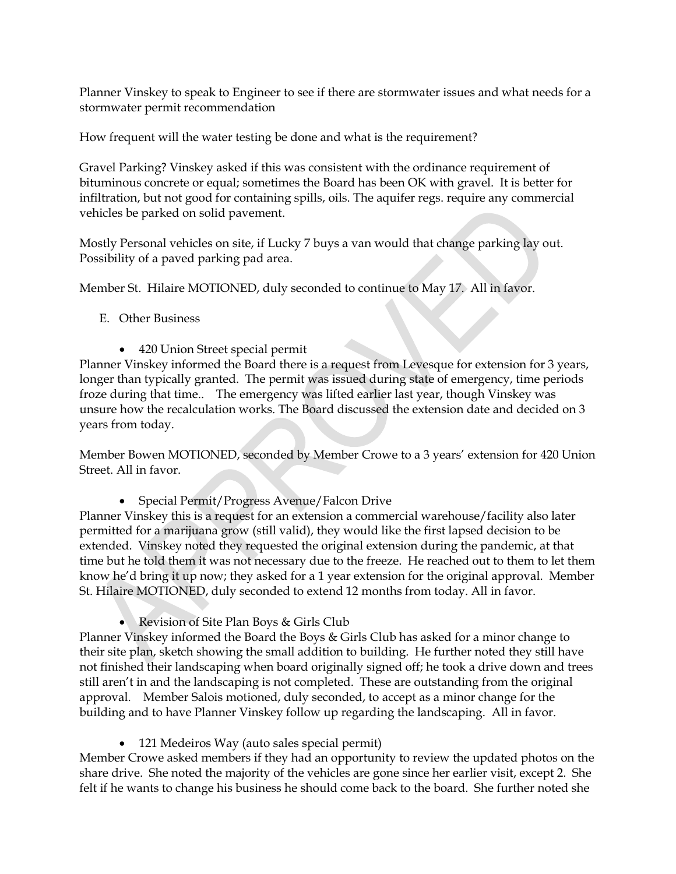Planner Vinskey to speak to Engineer to see if there are stormwater issues and what needs for a stormwater permit recommendation

How frequent will the water testing be done and what is the requirement?

Gravel Parking? Vinskey asked if this was consistent with the ordinance requirement of bituminous concrete or equal; sometimes the Board has been OK with gravel. It is better for infiltration, but not good for containing spills, oils. The aquifer regs. require any commercial vehicles be parked on solid pavement.

Mostly Personal vehicles on site, if Lucky 7 buys a van would that change parking lay out. Possibility of a paved parking pad area.

Member St. Hilaire MOTIONED, duly seconded to continue to May 17. All in favor.

- E. Other Business
	- 420 Union Street special permit

Planner Vinskey informed the Board there is a request from Levesque for extension for 3 years, longer than typically granted. The permit was issued during state of emergency, time periods froze during that time.. The emergency was lifted earlier last year, though Vinskey was unsure how the recalculation works. The Board discussed the extension date and decided on 3 years from today.

Member Bowen MOTIONED, seconded by Member Crowe to a 3 years' extension for 420 Union Street. All in favor.

Special Permit/Progress Avenue/Falcon Drive

Planner Vinskey this is a request for an extension a commercial warehouse/facility also later permitted for a marijuana grow (still valid), they would like the first lapsed decision to be extended. Vinskey noted they requested the original extension during the pandemic, at that time but he told them it was not necessary due to the freeze. He reached out to them to let them know he'd bring it up now; they asked for a 1 year extension for the original approval. Member St. Hilaire MOTIONED, duly seconded to extend 12 months from today. All in favor.

Revision of Site Plan Boys & Girls Club

Planner Vinskey informed the Board the Boys & Girls Club has asked for a minor change to their site plan, sketch showing the small addition to building. He further noted they still have not finished their landscaping when board originally signed off; he took a drive down and trees still aren't in and the landscaping is not completed. These are outstanding from the original approval. Member Salois motioned, duly seconded, to accept as a minor change for the building and to have Planner Vinskey follow up regarding the landscaping. All in favor.

121 Medeiros Way (auto sales special permit)

Member Crowe asked members if they had an opportunity to review the updated photos on the share drive. She noted the majority of the vehicles are gone since her earlier visit, except 2. She felt if he wants to change his business he should come back to the board. She further noted she